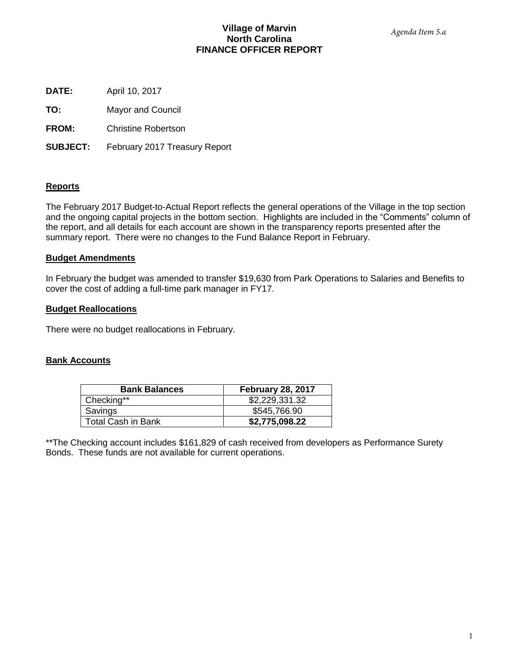# **Village of Marvin North Carolina FINANCE OFFICER REPORT**

**DATE:** April 10, 2017

**TO:** Mayor and Council

**FROM:** Christine Robertson

**SUBJECT:** February 2017 Treasury Report

# **Reports**

The February 2017 Budget-to-Actual Report reflects the general operations of the Village in the top section and the ongoing capital projects in the bottom section. Highlights are included in the "Comments" column of the report, and all details for each account are shown in the transparency reports presented after the summary report. There were no changes to the Fund Balance Report in February.

# **Budget Amendments**

In February the budget was amended to transfer \$19,630 from Park Operations to Salaries and Benefits to cover the cost of adding a full-time park manager in FY17.

## **Budget Reallocations**

There were no budget reallocations in February.

## **Bank Accounts**

| <b>Bank Balances</b>      | <b>February 28, 2017</b> |
|---------------------------|--------------------------|
| Checking**                | \$2,229,331.32           |
| Savings                   | \$545,766.90             |
| <b>Total Cash in Bank</b> | \$2,775,098.22           |

\*\*The Checking account includes \$161,829 of cash received from developers as Performance Surety Bonds. These funds are not available for current operations.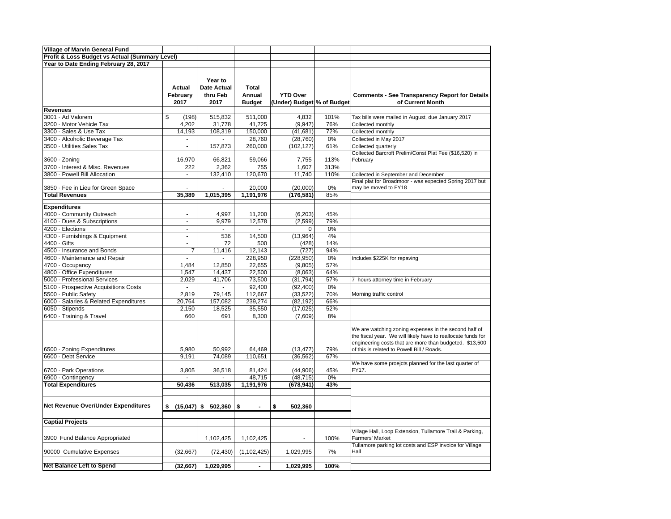| <b>Village of Marvin General Fund</b>          |                |                        |                      |                            |      |                                                                                                                         |
|------------------------------------------------|----------------|------------------------|----------------------|----------------------------|------|-------------------------------------------------------------------------------------------------------------------------|
| Profit & Loss Budget vs Actual (Summary Level) |                |                        |                      |                            |      |                                                                                                                         |
| Year to Date Ending February 28, 2017          |                |                        |                      |                            |      |                                                                                                                         |
|                                                |                |                        |                      |                            |      |                                                                                                                         |
|                                                |                | Year to                |                      |                            |      |                                                                                                                         |
|                                                |                |                        |                      |                            |      |                                                                                                                         |
|                                                | Actual         | <b>Date Actual</b>     | <b>Total</b>         |                            |      |                                                                                                                         |
|                                                | February       | thru Feb               | Annual               | <b>YTD Over</b>            |      | <b>Comments - See Transparency Report for Details</b>                                                                   |
|                                                | 2017           | 2017                   | <b>Budget</b>        | (Under) Budget % of Budget |      | of Current Month                                                                                                        |
| <b>Revenues</b>                                |                |                        |                      |                            |      |                                                                                                                         |
| 3001 · Ad Valorem                              | \$<br>(198)    | 515,832                | 511,000              | 4,832                      | 101% | Tax bills were mailed in August, due January 2017                                                                       |
| 3200 · Motor Vehicle Tax                       | 4,202          | 31,778                 | 41,725               | (9, 947)                   | 76%  | Collected monthly                                                                                                       |
| 3300 · Sales & Use Tax                         | 14,193         | 108,319                | 150,000              | (41, 681)                  | 72%  | Collected monthly                                                                                                       |
| 3400 · Alcoholic Beverage Tax                  | $\blacksquare$ | ÷.                     | 28,760               | (28, 760)                  | 0%   | Collected in May 2017                                                                                                   |
| 3500 · Utilities Sales Tax                     | ÷,             | 157,873                | 260,000              | (102, 127)                 | 61%  | Collected quarterly                                                                                                     |
|                                                |                |                        |                      |                            |      | Collected Barcroft Prelim/Const Plat Fee (\$16,520) in                                                                  |
| 3600 · Zoning                                  | 16,970         | 66,821                 | 59,066               | 7,755                      | 113% | February                                                                                                                |
| 3700 · Interest & Misc. Revenues               | 222            | 2,362                  | 755                  | 1,607                      | 313% |                                                                                                                         |
| 3800 · Powell Bill Allocation                  | ä,             | 132,410                | 120,670              | 11,740                     | 110% | Collected in September and December                                                                                     |
|                                                |                |                        |                      |                            |      | Final plat for Broadmoor - was expected Spring 2017 but                                                                 |
| 3850 · Fee in Lieu for Green Space             | L.             |                        | 20,000               | (20,000)                   | 0%   | may be moved to FY18                                                                                                    |
| <b>Total Revenues</b>                          | 35,389         | 1,015,395              | 1,191,976            | (176, 581)                 | 85%  |                                                                                                                         |
| <b>Expenditures</b>                            |                |                        |                      |                            |      |                                                                                                                         |
| 4000 · Community Outreach                      | $\sim$         | 4,997                  | 11,200               | (6, 203)                   | 45%  |                                                                                                                         |
| 4100 · Dues & Subscriptions                    | $\blacksquare$ | 9,979                  | 12,578               | (2,599)                    | 79%  |                                                                                                                         |
| 4200 · Elections                               | $\blacksquare$ | $\mathcal{L}$          | $\blacksquare$       | 0                          | 0%   |                                                                                                                         |
| 4300 · Furnishings & Equipment                 | $\blacksquare$ | 536                    | 14,500               | (13,964)                   | 4%   |                                                                                                                         |
| 4400 · Gifts                                   | $\sim$         | 72                     | 500                  | (428)                      | 14%  |                                                                                                                         |
| 4500 · Insurance and Bonds                     | $\overline{7}$ |                        | 12,143               |                            | 94%  |                                                                                                                         |
|                                                |                | 11,416<br>÷.           |                      | (727)                      |      |                                                                                                                         |
| 4600 · Maintenance and Repair                  | $\blacksquare$ |                        | 228,950              | (228, 950)                 | 0%   | Includes \$225K for repaving                                                                                            |
| 4700 · Occupancy                               | 1,484          | 12,850                 | 22,655               | (9,805)                    | 57%  |                                                                                                                         |
| 4800 · Office Expenditures                     | 1,547          | 14,437                 | 22,500               | (8,063)                    | 64%  |                                                                                                                         |
| 5000 · Professional Services                   | 2,029          | 41,706                 | 73,500               | (31, 794)                  | 57%  | 7 hours attorney time in February                                                                                       |
| 5100 · Prospective Acquisitions Costs          | $\sim$         | $\sim$                 | 92,400               | (92, 400)                  | 0%   |                                                                                                                         |
| 5500 · Public Safety                           | 2,819          | 79,145                 | 112,667              | (33, 522)                  | 70%  | Morning traffic control                                                                                                 |
| 6000 · Salaries & Related Expenditures         | 20,764         | 157,082                | 239,274              | (82, 192)                  | 66%  |                                                                                                                         |
| 6050 · Stipends                                | 2,150          | 18,525                 | 35,550               | (17, 025)                  | 52%  |                                                                                                                         |
| 6400 · Training & Travel                       | 660            | 691                    | 8,300                | (7,609)                    | 8%   |                                                                                                                         |
|                                                |                |                        |                      |                            |      |                                                                                                                         |
|                                                |                |                        |                      |                            |      | We are watching zoning expenses in the second half of                                                                   |
|                                                |                |                        |                      |                            |      | the fiscal year. We will likely have to reallocate funds for<br>engineering costs that are more than budgeted. \$13,500 |
| 6500 · Zoning Expenditures                     | 5,980          | 50,992                 | 64,469               | (13, 477)                  | 79%  | of this is related to Powell Bill / Roads.                                                                              |
| 6600 · Debt Service                            | 9,191          | 74,089                 | 110,651              | (36, 562)                  | 67%  |                                                                                                                         |
|                                                |                |                        |                      |                            |      | We have some proejcts planned for the last quarter of                                                                   |
| 6700 · Park Operations                         | 3,805          | 36,518                 | 81,424               | (44, 906)                  | 45%  | FY17.                                                                                                                   |
| 6900 · Contingency                             | ÷.             |                        | 48,715               | (48, 715)                  | 0%   |                                                                                                                         |
| <b>Total Expenditures</b>                      | 50,436         | 513,035                | 1,191,976            | (678, 941)                 | 43%  |                                                                                                                         |
|                                                |                |                        |                      |                            |      |                                                                                                                         |
|                                                |                |                        |                      |                            |      |                                                                                                                         |
| Net Revenue Over/Under Expenditures            |                | \$ (15,047) \$ 502,360 | \$<br>$\blacksquare$ | \$<br>502,360              |      |                                                                                                                         |
|                                                |                |                        |                      |                            |      |                                                                                                                         |
|                                                |                |                        |                      |                            |      |                                                                                                                         |
| <b>Captial Projects</b>                        |                |                        |                      |                            |      |                                                                                                                         |
|                                                |                |                        |                      |                            |      | Village Hall, Loop Extension, Tullamore Trail & Parking,                                                                |
| 3900 Fund Balance Appropriated                 |                | 1,102,425              | 1,102,425            |                            | 100% | Farmers' Market                                                                                                         |
|                                                |                |                        |                      |                            |      | Tullamore parking lot costs and ESP invoice for Village                                                                 |
| 90000 Cumulative Expenses                      | (32, 667)      | (72, 430)              | (1, 102, 425)        | 1,029,995                  | 7%   | Hall                                                                                                                    |
|                                                |                |                        |                      |                            |      |                                                                                                                         |
| <b>Net Balance Left to Spend</b>               | (32, 667)      | 1,029,995              | $\blacksquare$       | 1,029,995                  | 100% |                                                                                                                         |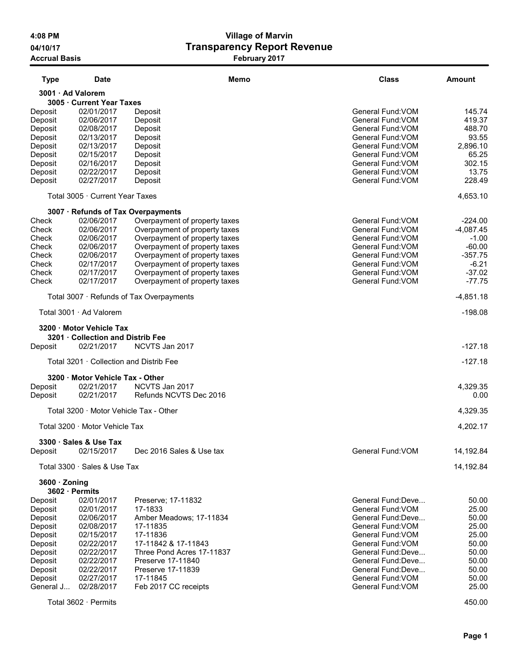# 4:08 PM Village of Marvin 04/10/17 04/10/17 CHARGIST Transparency Report Revenue Accrual Basis **February 2017**

| <b>Type</b>       | Date                                    | Memo                                     | Class              | <b>Amount</b> |
|-------------------|-----------------------------------------|------------------------------------------|--------------------|---------------|
| 3001 · Ad Valorem |                                         |                                          |                    |               |
|                   | 3005 · Current Year Taxes               |                                          |                    |               |
| Deposit           | 02/01/2017                              | Deposit                                  | General Fund: VOM  | 145.74        |
| Deposit           | 02/06/2017                              | Deposit                                  | General Fund: VOM  | 419.37        |
| Deposit           | 02/08/2017                              | Deposit                                  | General Fund: VOM  | 488.70        |
| Deposit           | 02/13/2017                              | Deposit                                  | General Fund: VOM  | 93.55         |
| Deposit           | 02/13/2017                              | Deposit                                  | General Fund: VOM  | 2,896.10      |
| Deposit           | 02/15/2017                              | Deposit                                  | General Fund: VOM  | 65.25         |
| Deposit           | 02/16/2017                              | Deposit                                  | General Fund: VOM  | 302.15        |
| Deposit           | 02/22/2017                              | Deposit                                  | General Fund: VOM  | 13.75         |
| Deposit           | 02/27/2017                              | Deposit                                  | General Fund: VOM  | 228.49        |
|                   | Total 3005 · Current Year Taxes         |                                          |                    | 4,653.10      |
|                   |                                         | 3007 · Refunds of Tax Overpayments       |                    |               |
| Check             | 02/06/2017                              | Overpayment of property taxes            | General Fund: VOM  | $-224.00$     |
| Check             | 02/06/2017                              | Overpayment of property taxes            | General Fund: VOM  | $-4,087.45$   |
| Check             | 02/06/2017                              | Overpayment of property taxes            | General Fund: VOM  | $-1.00$       |
| Check             | 02/06/2017                              | Overpayment of property taxes            | General Fund: VOM  | $-60.00$      |
| Check             | 02/06/2017                              | Overpayment of property taxes            | General Fund: VOM  | $-357.75$     |
| Check             | 02/17/2017                              | Overpayment of property taxes            | General Fund: VOM  | $-6.21$       |
| Check             | 02/17/2017                              | Overpayment of property taxes            | General Fund: VOM  | $-37.02$      |
| Check             | 02/17/2017                              | Overpayment of property taxes            | General Fund: VOM  | $-77.75$      |
|                   |                                         | Total 3007 · Refunds of Tax Overpayments |                    | $-4,851.18$   |
|                   | Total 3001 · Ad Valorem                 |                                          |                    | $-198.08$     |
|                   | 3200 · Motor Vehicle Tax                |                                          |                    |               |
|                   | 3201 · Collection and Distrib Fee       |                                          |                    |               |
| Deposit           | 02/21/2017                              | NCVTS Jan 2017                           |                    | $-127.18$     |
|                   | Total 3201 · Collection and Distrib Fee |                                          |                    | $-127.18$     |
|                   | 3200 · Motor Vehicle Tax - Other        |                                          |                    |               |
| Deposit           | 02/21/2017                              | NCVTS Jan 2017                           |                    | 4,329.35      |
| Deposit           | 02/21/2017                              | Refunds NCVTS Dec 2016                   |                    | 0.00          |
|                   |                                         |                                          |                    |               |
|                   | Total 3200 · Motor Vehicle Tax - Other  |                                          |                    | 4,329.35      |
|                   | Total 3200 · Motor Vehicle Tax          |                                          |                    | 4,202.17      |
|                   | 3300 · Sales & Use Tax                  |                                          |                    |               |
| Deposit           | 02/15/2017                              | Dec 2016 Sales & Use tax                 | General Fund: VOM  | 14,192.84     |
|                   | Total 3300 · Sales & Use Tax            |                                          |                    | 14,192.84     |
| 3600 · Zoning     |                                         |                                          |                    |               |
|                   | 3602 · Permits                          |                                          |                    |               |
| Deposit           | 02/01/2017                              | Preserve; 17-11832                       | General Fund:Deve  | 50.00         |
| Deposit           | 02/01/2017                              | 17-1833                                  | General Fund: VOM  | 25.00         |
| Deposit           | 02/06/2017                              | Amber Meadows; 17-11834                  | General Fund:Deve  | 50.00         |
| Deposit           | 02/08/2017                              | 17-11835                                 | General Fund: VOM  | 25.00         |
| Deposit           | 02/15/2017                              | 17-11836                                 | General Fund: VOM  | 25.00         |
| Deposit           | 02/22/2017                              | 17-11842 & 17-11843                      | General Fund: VOM  | 50.00         |
| Deposit           | 02/22/2017                              | Three Pond Acres 17-11837                | General Fund:Deve  | 50.00         |
| Deposit           | 02/22/2017                              | Preserve 17-11840                        | General Fund: Deve | 50.00         |
| Deposit           | 02/22/2017                              | Preserve 17-11839                        | General Fund:Deve  | 50.00         |
| Deposit           | 02/27/2017                              | 17-11845                                 | General Fund: VOM  | 50.00         |
| General J         | 02/28/2017                              | Feb 2017 CC receipts                     | General Fund: VOM  | 25.00         |
|                   | Total 3602 · Permits                    |                                          |                    | 450.00        |
|                   |                                         |                                          |                    |               |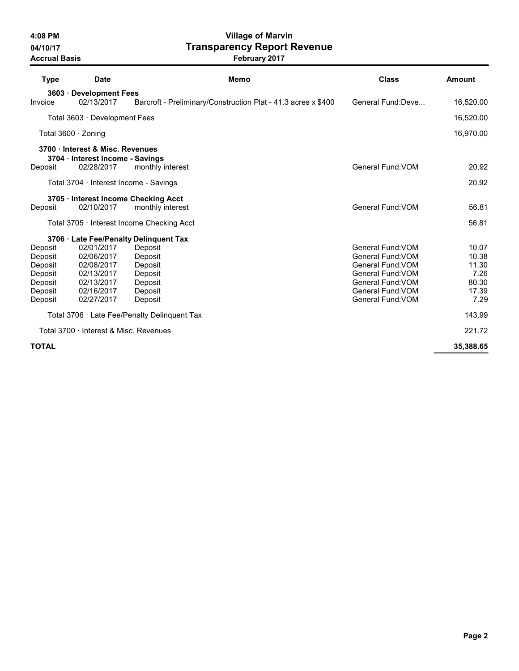# 4:08 PM Village of Marvin 04/10/17 **Transparency Report Revenue**

| <b>Type</b><br><b>Date</b>                                                                                                                                                  | Memo                                                                      | <b>Class</b>                                                                                                                                    | Amount                                                    |
|-----------------------------------------------------------------------------------------------------------------------------------------------------------------------------|---------------------------------------------------------------------------|-------------------------------------------------------------------------------------------------------------------------------------------------|-----------------------------------------------------------|
| 3603 · Development Fees<br>02/13/2017<br>Invoice                                                                                                                            | Barcroft - Preliminary/Construction Plat - 41.3 acres x \$400             | General Fund: Deve                                                                                                                              | 16,520.00                                                 |
| Total 3603 · Development Fees                                                                                                                                               |                                                                           |                                                                                                                                                 | 16,520.00                                                 |
| Total $3600 \cdot$ Zoning                                                                                                                                                   |                                                                           |                                                                                                                                                 | 16,970.00                                                 |
| 3700 · Interest & Misc. Revenues<br>3704 · Interest Income - Savings<br>02/28/2017<br>Deposit                                                                               | monthly interest                                                          | General Fund: VOM                                                                                                                               | 20.92                                                     |
| Total $3704 \cdot$ Interest Income - Savings                                                                                                                                |                                                                           |                                                                                                                                                 | 20.92                                                     |
|                                                                                                                                                                             |                                                                           |                                                                                                                                                 |                                                           |
| 3705 · Interest Income Checking Acct<br>02/10/2017<br>Deposit                                                                                                               | monthly interest                                                          | General Fund: VOM                                                                                                                               | 56.81                                                     |
| Total 3705 · Interest Income Checking Acct                                                                                                                                  |                                                                           |                                                                                                                                                 | 56.81                                                     |
| 3706 · Late Fee/Penalty Delinquent Tax                                                                                                                                      |                                                                           |                                                                                                                                                 |                                                           |
| 02/01/2017<br>Deposit<br>02/06/2017<br>Deposit<br>02/08/2017<br>Deposit<br>Deposit<br>02/13/2017<br>Deposit<br>02/13/2017<br>Deposit<br>02/16/2017<br>02/27/2017<br>Deposit | Deposit<br>Deposit<br>Deposit<br>Deposit<br>Deposit<br>Deposit<br>Deposit | General Fund: VOM<br>General Fund: VOM<br>General Fund: VOM<br>General Fund: VOM<br>General Fund: VOM<br>General Fund: VOM<br>General Fund: VOM | 10.07<br>10.38<br>11.30<br>7.26<br>80.30<br>17.39<br>7.29 |
| Total 3706 · Late Fee/Penalty Delinquent Tax                                                                                                                                |                                                                           |                                                                                                                                                 | 143.99                                                    |
| Total 3700 · Interest & Misc. Revenues                                                                                                                                      |                                                                           |                                                                                                                                                 | 221.72                                                    |
| <b>TOTAL</b>                                                                                                                                                                |                                                                           |                                                                                                                                                 | 35,388.65                                                 |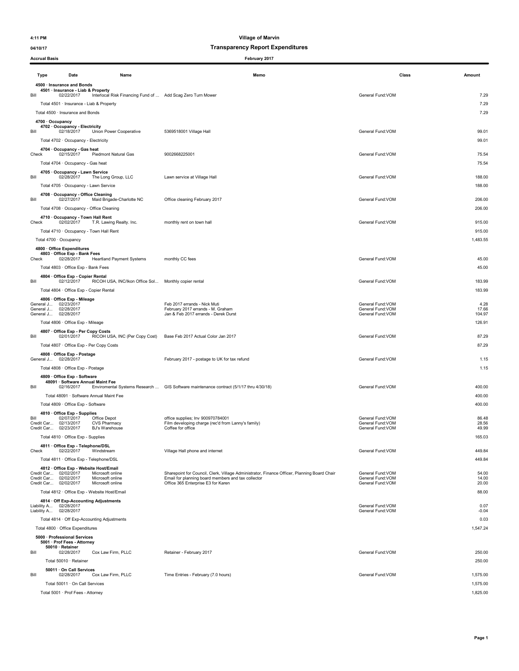#### 04/10/17 Transparency Report Expenditures

Accrual Basis February 2017

### Type Date Name Memo Class Amount 4500 · Insurance and Bonds 4501 · Insurance - Liab & Property Bill 02/22/2017 Interlocal Risk Financing Fund of ... Add Scag Zero Turn Mower General Fund:VOM 7.29 Total 4501 · Insurance - Liab & Property 7.29 Total 4500 · Insurance and Bonds 7.29 4700 · Occupancy 4702 · Occupancy - Electricity<br>Bill 02/18/2017 Union Power Cooperative 5369518001 Village Hall General Fund:VOM 99.01 Total 4702 · Occupancy - Electricity 99.01 4704 · Occupancy - Gas heat Check 02/15/2017 Piedmont Natural Gas 9002668225001 General Fund:VOM 75.54 Total 4704 · Occupancy - Gas heat 75.54 4705 · Occupancy - Lawn Service Bill 02/28/2017 The Long Group, LLC Lawn service at Village Hall General Fund:VOM 188.00 Total 4705 · Occupancy - Lawn Service 2012 188.00 ATO8 · Occupancy - Office Cleaning<br>Bill 02/27/2017 Maid Brigade-Charlotte NC Office cleaning February 2017 **Charlotte State Control Control Control** Total 4708 · Occupancy - Office Cleaning 206.00 **4710 · Occupancy - Town Hall Rent** (state of the monthly rent on town hall decleration of the state of the stat<br>Check o2/02/2017 T.R. Lawing Realty. Inc. monthly rent on town hall Total 4710 · Occupancy - Town Hall Rent 915.00 Total 4700 · Occupancy 1,483.55 4800 · Office Expenditures  $4803 \cdot$  Office Exp - Bank Fees<br>Check 02/28/2017 Hear Heartland Payment Systems monthly CC fees **Check 2017** Associated a monotonic Ceneral Fund:VOM 45.00 Total 4803 · Office Exp - Bank Fees 45.00 **4804 · Office Exp - Copier Rental**<br>Bill 02/12/2017 RICOH USA, INC/Ikon Office Sol... Monthly copier rental General Fund:VOM Seneral Fund:VOM General Fund:VOM Total 4804 · Office Exp - Copier Rental 183.99 183.99 4806 · Office Exp - Mileage<br>General J... 02/23/2017<br>General J... 02/28/2017<br>General J... 02/28/2017 Feb 2017 errands - Nick Muti 4.28 (1999) 1.28 (1999) 1.28 (1999) 1.28 (1999) 1.28 (1999) 1.28 (1999) 1.28 (199<br>1999) 1.23/217 errands - Derek Durst 1.29 (1999) 1.29 (1999) 1.29 (1999) 1.29 (1999) 1.29 (1999) 1.29 (1999) 1<br> General J... 02/28/2017 February 2017 errands - M. Graham General Fund:VOM 17.66 General J... 02/28/2017 Jan & Feb 2017 errands - Derek Durst General Fund:VOM 104.97 Total 4806 · Office Exp - Mileage 126.91 **126.91 126.91** 4807 · **Office Exp - Per Copy Costs**<br>Bill 02/01/2017 RICOH USA, INC (Per Copy Cost) Base Feb 2017 Actual Color Jan 2017 Total 4807 · Office Exp - Per Copy Costs 87.29 4808 · Office Exp - Postage<br>General J... 02/28/2017 February 2017 - postage to UK for tax refund General General Fund:VOM General Fund:VOM 6-1.15 Total 4808 · Office Exp - Postage 1.15 4809 · Office Exp - Software 48091 · Software Annual Maint Fee<br>Bill 02/16/2017 Enviromental Systems Research ... GIS Software maintenance contract (5/1/17 thru 4/30/18) General Fund:VOM General Fund:VOM Total 48091 · Software Annual Maint Fee 400.00 Total 4809 · Office Exp - Software 400.00 — 4810 · Office Exp - Supplies<br>Bill 02/07/2017 Office Depot office supplies; Inv 900970784001 86.48 Credit Car... 02/13/2017 CVS Pharmacy Film developing charge (rec'd from Lanny's family) General Fund:VOM 28.56 Credit Car... 02/23/2017 BJ's Warehouse Coffee for office General Fund:VOM 49.99 Total 4810 · Office Exp - Supplies 165.03 4811 · Office Exp - Telephone/DSL<br>Check 02/22/2017 Windstream Village Hall phone and internet **All and Stream Village Hall phone and internet** All and Stream Control of the Ceneral Fund:VOM 449.84 Total 4811 · Office Exp - Telephone/DSL 449.84 4812 · Office Exp - Website Host/Email<br>Credit Car... 02/02/2017 Microsoft online<br>Credit Car... 02/02/2017 Microsoft online<br>Credit Car... 02/02/2017 Microsoft online Sharepoint for Council, Clerk, Village Administrator, Finance Officer, Planning Board Chair General Fund:VOM 54.00<br>Fragil for planning board members and tax collector Credit Car... 02/02/2017 Microsoft online Email for planning board members and tax collector General Fund:VOM 14.00 Credit Car... 02/02/2017 Microsoft online Office 365 Enterprise E3 for Karen General Fund:VOM 20.00 Total 4812 · Office Exp - Website Host/Email 88.00 4814 · Off Exp-Accounting Adjustments Liability A... 02/28/2017<br>Liability A... 02/28/2017 General Fund:VOM 0.04 Ceneral Fund:VOM 0.04 Ceneral Fund:VOM 0.04 Ceneral Fund:VOM 0.04 Ceneral Fund:VOM 0.04 Total 4814 · Off Exp-Accounting Adjustments 0.03 Total 4800 · Office Expenditures 1,547.24 5000 · Professional Services 5001 · Prof Fees - Attorney 50010 · Retainer Bill 02/28/2017 Cox Law Firm, PLLC Retainer - February 2017 Control of the Superal Fund:VOM 250.00 Ceneral Fund:VOM 250.00 Total 50010 · Retainer 250.00 50011 · On Call Services Bill 02/28/2017 Cox Law Firm, PLLC Time Entries - February (7.0 hours) General Fund:VOM 1,575.00 Total 50011 · On Call Services 1,575.00

Total 5001 · Prof Fees - Attorney 1,825.00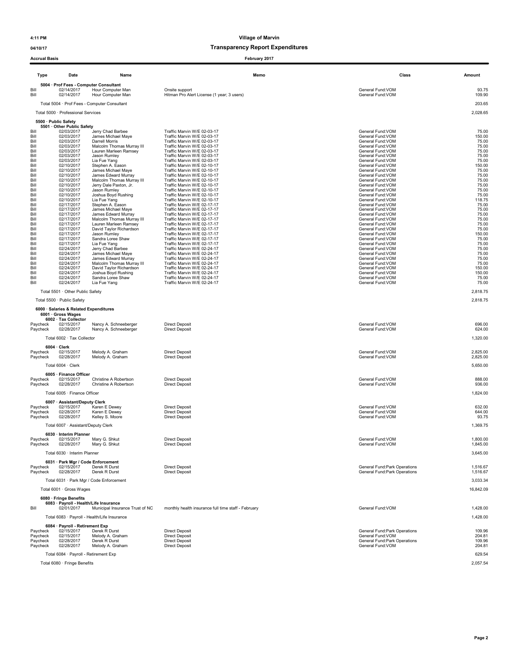### 04/10/17 and 04/10/17 and 04/10/17 and 04/10/17 and 04/10/17 and 05/17 and 05/17 and 05/17 and 05/17 and 05/17 and 05/17 and 05/17 and 05/17 and 05/17 and 05/17 and 05/17 and 05/17 and 05/17 and 05/17 and 05/17 and 05/17 a

| <b>Accrual Basis</b> |                                                      |                                                      | February 2017                                                |                                                                |                      |
|----------------------|------------------------------------------------------|------------------------------------------------------|--------------------------------------------------------------|----------------------------------------------------------------|----------------------|
| <b>Type</b>          | Date                                                 | Name                                                 | Memo                                                         | Class                                                          | Amount               |
|                      | 5004 · Prof Fees - Computer Consultant               |                                                      |                                                              |                                                                |                      |
| Bill<br>Bill         | 02/14/2017<br>02/14/2017                             | Hour Computer Man<br>Hour Computer Man               | Onsite support<br>Hitman Pro Alert License (1 year; 3 users) | General Fund:VOM<br>General Fund:VOM                           | 93.75<br>109.90      |
|                      |                                                      | Total 5004 · Prof Fees - Computer Consultant         |                                                              |                                                                | 203.65               |
|                      | Total 5000 · Professional Services                   |                                                      |                                                              |                                                                | 2,028.65             |
|                      | 5500 · Public Safety                                 |                                                      |                                                              |                                                                |                      |
| Bill                 | 5501 · Other Public Safety<br>02/03/2017             | Jerry Chad Barbee                                    | Traffic Marvin W/E 02-03-17                                  | General Fund: VOM                                              | 75.00                |
| Bill                 | 02/03/2017                                           | James Michael Maye                                   | Traffic Marvin W/E 02-03-17                                  | General Fund: VOM                                              | 150.00               |
| Bill<br>Bill         | 02/03/2017<br>02/03/2017                             | Darrell Morris<br>Malcolm Thomas Murray III          | Traffic Marvin W/E 02-03-17<br>Traffic Marvin W/E 02-03-17   | General Fund:VOM<br>General Fund: VOM                          | 75.00<br>75.00       |
| Bill<br>Bill         | 02/03/2017<br>02/03/2017                             | Lauren Marleen Ramsey<br>Jason Rumley                | Traffic Marvin W/E 02-03-17<br>Traffic Marvin W/E 02-03-17   | General Fund: VOM<br>General Fund:VOM                          | 75.00<br>75.00       |
| Bill                 | 02/03/2017                                           | Lia Fue Yang                                         | Traffic Marvin W/E 02-03-17                                  | General Fund: VOM                                              | 75.00                |
| Bill<br>Bill         | 02/10/2017<br>02/10/2017                             | Stephen A. Eason<br>James Michael Maye               | Traffic Marvin W/E 02-10-17<br>Traffic Marvin W/E 02-10-17   | General Fund: VOM<br>General Fund:VOM                          | 150.00<br>75.00      |
| Bill<br>Bill         | 02/10/2017<br>02/10/2017                             | James Edward Murray<br>Malcolm Thomas Murray III     | Traffic Marvin W/E 02-10-17<br>Traffic Marvin W/E 02-10-17   | General Fund: VOM<br>General Fund: VOM                         | 75.00<br>75.00       |
| Bill                 | 02/10/2017                                           | Jerry Dale Paxton, Jr.                               | Traffic Marvin W/E 02-10-17                                  | General Fund:VOM                                               | 75.00                |
| Bill<br>Bill         | 02/10/2017<br>02/10/2017                             | Jason Rumley<br>Joshua Boyd Rushing                  | Traffic Marvin W/E 02-10-17<br>Traffic Marvin W/E 02-10-17   | General Fund: VOM<br>General Fund: VOM                         | 75.00<br>75.00       |
| Bill<br>Bill         | 02/10/2017<br>02/17/2017                             | Lia Fue Yang<br>Stephen A. Eason                     | Traffic Marvin W/E 02-10-17<br>Traffic Marvin W/E 02-17-17   | General Fund:VOM<br>General Fund:VOM                           | 118.75<br>75.00      |
| Bill                 | 02/17/2017                                           | James Michael Maye                                   | Traffic Marvin W/E 02-17-17                                  | General Fund:VOM                                               | 75.00                |
| Bill<br>Bill         | 02/17/2017<br>02/17/2017                             | James Edward Murray<br>Malcolm Thomas Murray III     | Traffic Marvin W/E 02-17-17<br>Traffic Marvin W/E 02-17-17   | General Fund: VOM<br>General Fund: VOM                         | 75.00<br>75.00       |
| Bill<br>Bill         | 02/17/2017                                           | Lauren Marleen Ramsey<br>David Taylor Richardson     | Traffic Marvin W/E 02-17-17<br>Traffic Marvin W/E 02-17-17   | General Fund: VOM<br>General Fund: VOM                         | 75.00<br>75.00       |
| Bill                 | 02/17/2017<br>02/17/2017                             | Jason Rumley                                         | Traffic Marvin W/E 02-17-17                                  | General Fund:VOM                                               | 150.00               |
| Bill<br>Bill         | 02/17/2017<br>02/17/2017                             | Sandra Loree Shaw<br>Lia Fue Yang                    | Traffic Marvin W/E 02-17-17<br>Traffic Marvin W/E 02-17-17   | General Fund:VOM<br>General Fund: VOM                          | 75.00<br>75.00       |
| Bill                 | 02/24/2017                                           | Jerry Chad Barbee                                    | Traffic Marvin W/E 02-24-17                                  | General Fund: VOM                                              | 75.00                |
| Bill<br>Bill         | 02/24/2017<br>02/24/2017                             | James Michael Maye<br>James Edward Murray            | Traffic Marvin W/E 02-24-17<br>Traffic Marvin W/E 02-24-17   | General Fund: VOM<br>General Fund: VOM                         | 75.00<br>75.00       |
| Bill<br>Bill         | 02/24/2017<br>02/24/2017                             | Malcolm Thomas Murray III<br>David Taylor Richardson | Traffic Marvin W/E 02-24-17<br>Traffic Marvin W/E 02-24-17   | General Fund: VOM<br>General Fund: VOM                         | 75.00<br>150.00      |
| Bill                 | 02/24/2017                                           | Joshua Boyd Rushing                                  | Traffic Marvin W/E 02-24-17                                  | General Fund: VOM                                              | 150.00               |
| Bill<br>Bill         | 02/24/2017<br>02/24/2017                             | Sandra Loree Shaw<br>Lia Fue Yang                    | Traffic Marvin W/E 02-24-17<br>Traffic Marvin W/E 02-24-17   | General Fund: VOM<br>General Fund: VOM                         | 75.00<br>75.00       |
|                      | Total 5501 · Other Public Safety                     |                                                      |                                                              |                                                                | 2,818.75             |
|                      | Total 5500 · Public Safety                           |                                                      |                                                              |                                                                | 2.818.75             |
|                      | 6000 · Salaries & Related Expenditures               |                                                      |                                                              |                                                                |                      |
|                      | 6001 · Gross Wages<br>6002 · Tax Collector           |                                                      |                                                              |                                                                |                      |
| Paycheck             | 02/15/2017                                           | Nancy A. Schneeberger                                | <b>Direct Deposit</b>                                        | General Fund: VOM                                              | 696.00               |
| Paycheck             | 02/28/2017                                           | Nancy A. Schneeberger                                | <b>Direct Deposit</b>                                        | General Fund:VOM                                               | 624.00               |
|                      | Total 6002 · Tax Collector                           |                                                      |                                                              |                                                                | 1,320.00             |
| Paycheck             | $6004 \cdot$ Clerk<br>02/15/2017                     | Melody A. Graham                                     | <b>Direct Deposit</b>                                        | General Fund: VOM                                              | 2,825.00             |
| Paycheck             | 02/28/2017                                           | Melody A. Graham                                     | <b>Direct Deposit</b>                                        | General Fund:VOM                                               | 2,825.00             |
|                      | Total 6004 · Clerk                                   |                                                      |                                                              |                                                                | 5,650.00             |
| Paycheck             | 6005 · Finance Officer<br>02/15/2017                 | Christine A Robertson                                | <b>Direct Deposit</b>                                        | General Fund:VOM                                               | 888.00               |
| Paycheck             | 02/28/2017                                           | Christine A Robertson                                | <b>Direct Deposit</b>                                        | General Fund:VOM                                               | 936.00               |
|                      | Total 6005 · Finance Officer                         |                                                      |                                                              |                                                                | 1,824.00             |
|                      | 6007 · Assistant/Deputy Clerk                        |                                                      |                                                              |                                                                |                      |
| Paycheck<br>Paycheck | 02/15/2017<br>02/28/2017                             | Karen E Dewey<br>Karen E Dewey                       | <b>Direct Deposit</b><br><b>Direct Deposit</b>               | General Fund:VOM<br>General Fund: VOM                          | 632.00<br>644.00     |
| Paycheck             | 02/28/2017                                           | Kelley S. Moore                                      | <b>Direct Deposit</b>                                        | General Fund: VOM                                              | 93.75                |
|                      | Total 6007 · Assistant/Deputy Clerk                  |                                                      |                                                              |                                                                | 1,369.75             |
|                      | 6030 · Interim Planner                               |                                                      |                                                              |                                                                |                      |
| Paycheck<br>Paycheck | 02/15/2017<br>02/28/2017                             | Mary G. Shkut<br>Mary G. Shkut                       | <b>Direct Deposit</b><br><b>Direct Deposit</b>               | General Fund:VOM<br>General Fund: VOM                          | 1,800.00<br>1,845.00 |
|                      | Total 6030 · Interim Planner                         |                                                      |                                                              |                                                                | 3,645.00             |
|                      | 6031 · Park Mgr / Code Enforcement                   |                                                      |                                                              |                                                                |                      |
| Paycheck<br>Paycheck | 02/15/2017<br>02/28/2017                             | Derek R Durst<br>Derek R Durst                       | <b>Direct Deposit</b><br><b>Direct Deposit</b>               | General Fund: Park Operations<br>General Fund: Park Operations | 1,516.67<br>1,516.67 |
|                      |                                                      | Total 6031 · Park Mgr / Code Enforcement             |                                                              |                                                                | 3,033.34             |
|                      | Total 6001 · Gross Wages                             |                                                      |                                                              |                                                                | 16,842.09            |
|                      | 6080 · Fringe Benefits                               |                                                      |                                                              |                                                                |                      |
| Bill                 | 6083 · Payroll - Health/Life Insurance<br>02/01/2017 | Municipal Insurance Trust of NC                      | monthly health insurance full time staff - February          | General Fund: VOM                                              | 1,428.00             |
|                      |                                                      | Total 6083 · Payroll - Health/Life Insurance         |                                                              |                                                                | 1,428.00             |
|                      | 6084 · Payroll - Retirement Exp                      |                                                      |                                                              |                                                                |                      |
| Paycheck             | 02/15/2017                                           | Derek R Durst                                        | <b>Direct Deposit</b>                                        | General Fund: Park Operations                                  | 109.96               |
| Paycheck<br>Paycheck | 02/15/2017<br>02/28/2017                             | Melody A. Graham<br>Derek R Durst                    | <b>Direct Deposit</b><br><b>Direct Deposit</b>               | General Fund: VOM<br>General Fund: Park Operations             | 204.81<br>109.96     |
| Paycheck             | 02/28/2017                                           | Melody A. Graham                                     | <b>Direct Deposit</b>                                        | General Fund: VOM                                              | 204.81               |
|                      | Total 6084 · Payroll - Retirement Exp                |                                                      |                                                              |                                                                | 629.54               |

Total 6080 · Fringe Benefits 2,057.54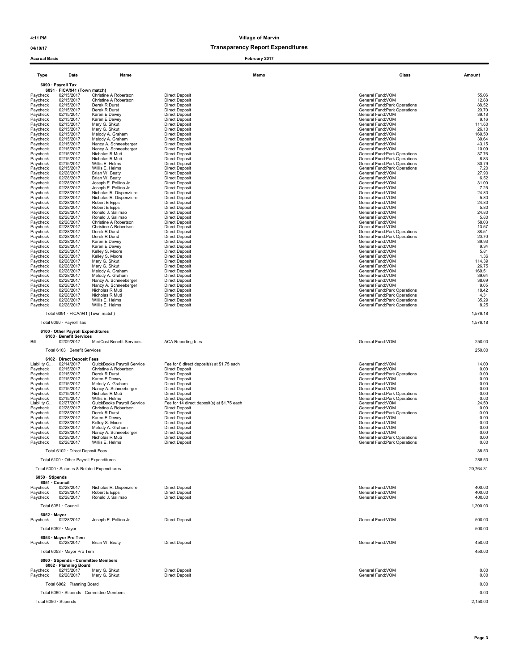### 04/10/17 and 04/10/17 and 04/10/17 and 04/10/17 and 04/10/17 and 05/17 and 05/17 and 05/17 and 05/17 and 05/17 and 05/17 and 05/17 and 05/17 and 05/17 and 05/17 and 05/17 and 05/17 and 05/17 and 05/17 and 05/17 and 05/17 a

| <b>Accrual Basis</b>    |                                                              |                                                     | February 2017                                                        |                                                                      |                 |
|-------------------------|--------------------------------------------------------------|-----------------------------------------------------|----------------------------------------------------------------------|----------------------------------------------------------------------|-----------------|
| <b>Type</b>             | Date                                                         | Name                                                | Memo                                                                 | Class                                                                | Amount          |
|                         | 6090 · Payroll Tax<br>6091 · FICA/941 (Town match)           |                                                     |                                                                      |                                                                      |                 |
| Paycheck                | 02/15/2017                                                   | Christine A Robertson                               | <b>Direct Deposit</b>                                                | General Fund: VOM                                                    | 55.06           |
| Paycheck<br>Paycheck    | 02/15/2017<br>02/15/2017                                     | Christine A Robertson<br>Derek R Durst              | <b>Direct Deposit</b><br><b>Direct Deposit</b>                       | General Fund:VOM<br>General Fund: Park Operations                    | 12.88<br>88.52  |
| Paycheck<br>Paycheck    | 02/15/2017<br>02/15/2017                                     | Derek R Durst<br>Karen E Dewey                      | <b>Direct Deposit</b><br><b>Direct Deposit</b>                       | General Fund: Park Operations<br>General Fund: VOM                   | 20.70<br>39.18  |
| Paycheck                | 02/15/2017                                                   | Karen E Dewey                                       | <b>Direct Deposit</b>                                                | General Fund: VOM                                                    | 9.16            |
| Paycheck<br>Paycheck    | 02/15/2017<br>02/15/2017                                     | Mary G. Shkut<br>Mary G. Shkut                      | <b>Direct Deposit</b><br><b>Direct Deposit</b>                       | General Fund:VOM<br>General Fund: VOM                                | 111.60<br>26.10 |
| Paycheck                | 02/15/2017                                                   | Melody A. Graham                                    | <b>Direct Deposit</b>                                                | General Fund: VOM                                                    | 169.50          |
| Paycheck<br>Paycheck    | 02/15/2017<br>02/15/2017                                     | Melody A. Graham<br>Nancy A. Schneeberger           | <b>Direct Deposit</b><br><b>Direct Deposit</b>                       | General Fund: VOM<br>General Fund: VOM                               | 39.64<br>43.15  |
| Paycheck                | 02/15/2017                                                   | Nancy A. Schneeberger                               | <b>Direct Deposit</b>                                                | General Fund:VOM                                                     | 10.09           |
| Paycheck<br>Paycheck    | 02/15/2017<br>02/15/2017                                     | Nicholas R Muti<br>Nicholas R Muti                  | <b>Direct Deposit</b><br><b>Direct Deposit</b>                       | General Fund: Park Operations<br>General Fund: Park Operations       | 37.76<br>8.83   |
| Paycheck<br>Paycheck    | 02/15/2017<br>02/15/2017                                     | Willis E. Helms<br>Willis E. Helms                  | <b>Direct Deposit</b><br><b>Direct Deposit</b>                       | General Fund: Park Operations<br>General Fund: Park Operations       | 30.79<br>7.20   |
| Paycheck                | 02/28/2017                                                   | Brian W. Beaty                                      | <b>Direct Deposit</b>                                                | General Fund: VOM                                                    | 27.90           |
| Paycheck<br>Paycheck    | 02/28/2017<br>02/28/2017                                     | Brian W. Beaty<br>Joseph E. Pollino Jr.             | <b>Direct Deposit</b><br><b>Direct Deposit</b>                       | General Fund:VOM<br>General Fund:VOM                                 | 6.52<br>31.00   |
| Paycheck                | 02/28/2017                                                   | Joseph E. Pollino Jr.                               | <b>Direct Deposit</b>                                                | General Fund: VOM                                                    | 7.25            |
| Paycheck<br>Paycheck    | 02/28/2017<br>02/28/2017                                     | Nicholas R. Dispenziere<br>Nicholas R. Dispenziere  | <b>Direct Deposit</b><br><b>Direct Deposit</b>                       | General Fund: VOM<br>General Fund:VOM                                | 24.80<br>5.80   |
| Paycheck                | 02/28/2017                                                   | Robert E Epps                                       | <b>Direct Deposit</b>                                                | General Fund:VOM                                                     | 24.80           |
| Paycheck<br>Paycheck    | 02/28/2017<br>02/28/2017                                     | Robert E Epps<br>Ronald J. Salimao                  | <b>Direct Deposit</b><br><b>Direct Deposit</b>                       | General Fund: VOM<br>General Fund: VOM                               | 5.80<br>24.80   |
| Paycheck<br>Paycheck    | 02/28/2017<br>02/28/2017                                     | Ronald J. Salimao<br>Christine A Robertson          | <b>Direct Deposit</b><br><b>Direct Deposit</b>                       | General Fund:VOM<br>General Fund:VOM                                 | 5.80<br>58.03   |
| Paycheck                | 02/28/2017                                                   | Christine A Robertson                               | <b>Direct Deposit</b>                                                | General Fund:VOM                                                     | 13.57           |
| Paycheck<br>Paycheck    | 02/28/2017<br>02/28/2017                                     | Derek R Durst<br>Derek R Durst                      | <b>Direct Deposit</b><br><b>Direct Deposit</b>                       | <b>General Fund:Park Operations</b><br>General Fund: Park Operations | 88.51<br>20.70  |
| Paycheck                | 02/28/2017                                                   | Karen E Dewey                                       | <b>Direct Deposit</b>                                                | General Fund: VOM                                                    | 39.93           |
| Paycheck<br>Paycheck    | 02/28/2017<br>02/28/2017                                     | Karen E Dewey<br>Kelley S. Moore                    | <b>Direct Deposit</b><br><b>Direct Deposit</b>                       | General Fund: VOM<br>General Fund: VOM                               | 9.34<br>5.81    |
| Paycheck                | 02/28/2017                                                   | Kelley S. Moore                                     | <b>Direct Deposit</b>                                                | General Fund: VOM                                                    | 1.36            |
| Paycheck<br>Paycheck    | 02/28/2017<br>02/28/2017                                     | Mary G. Shkut<br>Mary G. Shkut                      | <b>Direct Deposit</b><br><b>Direct Deposit</b>                       | General Fund: VOM<br>General Fund: VOM                               | 114.39<br>26.75 |
| Paycheck                | 02/28/2017                                                   | Melody A. Graham                                    | <b>Direct Deposit</b><br><b>Direct Deposit</b>                       | General Fund:VOM                                                     | 169.51          |
| Paycheck<br>Paycheck    | 02/28/2017<br>02/28/2017                                     | Melody A. Graham<br>Nancy A. Schneeberger           | <b>Direct Deposit</b>                                                | General Fund:VOM<br>General Fund: VOM                                | 39.64<br>38.69  |
| Paycheck<br>Paycheck    | 02/28/2017<br>02/28/2017                                     | Nancy A. Schneeberger<br>Nicholas R Muti            | <b>Direct Deposit</b><br><b>Direct Deposit</b>                       | General Fund:VOM<br>General Fund: Park Operations                    | 9.05<br>18.42   |
| Paycheck                | 02/28/2017                                                   | Nicholas R Muti                                     | <b>Direct Deposit</b>                                                | General Fund: Park Operations                                        | 4.31            |
| Paycheck<br>Paycheck    | 02/28/2017<br>02/28/2017                                     | Willis E. Helms<br>Willis E. Helms                  | <b>Direct Deposit</b><br><b>Direct Deposit</b>                       | General Fund: Park Operations<br>General Fund: Park Operations       | 35.29<br>8.25   |
|                         | Total 6091 · FICA/941 (Town match)                           |                                                     |                                                                      |                                                                      | 1,576.18        |
|                         | Total 6090 · Payroll Tax                                     |                                                     |                                                                      |                                                                      | 1,576.18        |
|                         | 6100 Other Payroll Expenditures                              |                                                     |                                                                      |                                                                      |                 |
|                         | 6103 · Benefit Services                                      |                                                     |                                                                      |                                                                      |                 |
| Bill                    | 02/09/2017                                                   | MedCost Benefit Services                            | <b>ACA Reporting fees</b>                                            | General Fund: VOM                                                    | 250.00          |
|                         | Total 6103 · Benefit Services                                |                                                     |                                                                      |                                                                      | 250.00          |
|                         | 6102 · Direct Deposit Fees                                   |                                                     |                                                                      |                                                                      |                 |
| Liability C<br>Paycheck | 02/14/2017<br>02/15/2017                                     | QuickBooks Payroll Service<br>Christine A Robertson | Fee for 8 direct deposit(s) at \$1.75 each<br><b>Direct Deposit</b>  | General Fund: VOM<br>General Fund:VOM                                | 14.00<br>0.00   |
| Paycheck                | 02/15/2017                                                   | Derek R Durst                                       | <b>Direct Deposit</b>                                                | General Fund: Park Operations                                        | 0.00            |
| Paycheck<br>Paycheck    | 02/15/2017<br>02/15/2017                                     | Karen E Dewey<br>Melody A. Graham                   | <b>Direct Deposit</b><br><b>Direct Deposit</b>                       | General Fund: VOM<br>General Fund: VOM                               | 0.00<br>0.00    |
| Paycheck<br>Paycheck    | 02/15/2017<br>02/15/2017                                     | Nancy A. Schneeberger<br>Nicholas R Muti            | <b>Direct Deposit</b><br><b>Direct Deposit</b>                       | General Fund: VOM<br>General Fund: Park Operations                   | 0.00<br>0.00    |
| Paycheck                | 02/15/2017                                                   | Willis E. Helms                                     | <b>Direct Deposit</b>                                                | General Fund: Park Operations                                        | 0.00            |
| Liability C<br>Paycheck | 02/27/2017<br>02/28/2017                                     | QuickBooks Payroll Service<br>Christine A Robertson | Fee for 14 direct deposit(s) at \$1.75 each<br><b>Direct Deposit</b> | General Fund: VOM<br>General Fund:VOM                                | 24.50<br>0.00   |
| Paycheck                | 02/28/2017                                                   | Derek R Durst                                       | <b>Direct Deposit</b>                                                | General Fund: Park Operations                                        | 0.00            |
| Paycheck<br>Paycheck    | 02/28/2017<br>02/28/2017                                     | Karen E Dewey<br>Kelley S. Moore                    | <b>Direct Deposit</b><br><b>Direct Deposit</b>                       | General Fund:VOM<br>General Fund: VOM                                | 0.00<br>0.00    |
| Paycheck                | 02/28/2017                                                   | Melody A. Graham                                    | <b>Direct Deposit</b>                                                | General Fund:VOM                                                     | 0.00            |
| Paycheck<br>Paycheck    | 02/28/2017<br>02/28/2017                                     | Nancy A. Schneeperger<br>Nicholas R Muti            | <b>Direct Deposit</b><br><b>Direct Deposit</b>                       | General Fund: VOM<br>General Fund: Park Operations                   | 0.00<br>0.00    |
| Paycheck                | 02/28/2017                                                   | Willis E. Helms                                     | <b>Direct Deposit</b>                                                | General Fund: Park Operations                                        | 0.00            |
|                         | Total 6102 · Direct Deposit Fees                             |                                                     |                                                                      |                                                                      | 38.50           |
|                         | Total 6100 · Other Payroll Expenditures                      |                                                     |                                                                      |                                                                      | 288.50          |
|                         |                                                              | Total 6000 · Salaries & Related Expenditures        |                                                                      |                                                                      | 20,764.31       |
| 6050 · Stipends         |                                                              |                                                     |                                                                      |                                                                      |                 |
|                         | 6051 Council<br>02/28/2017                                   | Nicholas R. Dispenziere                             | <b>Direct Deposit</b>                                                | General Fund: VOM                                                    | 400.00          |
| Paycheck<br>Paycheck    | 02/28/2017                                                   | Robert E Epps                                       | <b>Direct Deposit</b>                                                | General Fund: VOM                                                    | 400.00          |
| Paycheck                | 02/28/2017                                                   | Ronald J. Salimao                                   | <b>Direct Deposit</b>                                                | General Fund: VOM                                                    | 400.00          |
|                         | Total 6051 · Council                                         |                                                     |                                                                      |                                                                      | 1,200.00        |
| $6052 \cdot$ Mayor      |                                                              |                                                     |                                                                      |                                                                      |                 |
| Paycheck                | 02/28/2017                                                   | Joseph E. Pollino Jr.                               | <b>Direct Deposit</b>                                                | General Fund: VOM                                                    | 500.00          |
|                         | Total 6052 · Mayor                                           |                                                     |                                                                      |                                                                      | 500.00          |
|                         | 6053 · Mayor Pro Tem                                         |                                                     |                                                                      |                                                                      |                 |
| Paycheck                | 02/28/2017                                                   | Brian W. Beaty                                      | <b>Direct Deposit</b>                                                | General Fund: VOM                                                    | 450.00          |
|                         | Total 6053 · Mayor Pro Tem                                   |                                                     |                                                                      |                                                                      | 450.00          |
|                         | 6060 · Stipends - Committee Members<br>6062 · Planning Board |                                                     |                                                                      |                                                                      |                 |
| Paycheck                | 02/15/2017                                                   | Mary G. Shkut                                       | <b>Direct Deposit</b>                                                | General Fund:VOM                                                     | 0.00            |
| Paycheck                | 02/28/2017                                                   | Mary G. Shkut                                       | <b>Direct Deposit</b>                                                | General Fund: VOM                                                    | 0.00            |
|                         | Total 6062 · Planning Board                                  |                                                     |                                                                      |                                                                      | 0.00            |
|                         |                                                              | Total 6060 · Stipends - Committee Members           |                                                                      |                                                                      | 0.00            |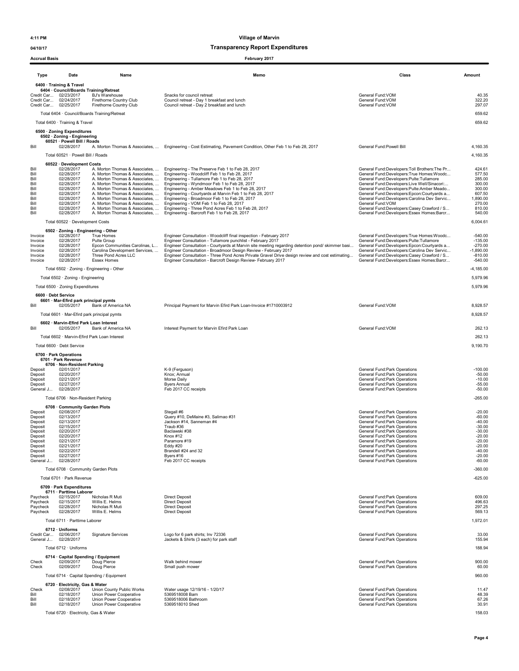04/10/17 Transparency Report Expenditures

### Type Date Name Memo Class Amount 6400 · Training & Travel 6404 · Council/Boards Training/Retreat<br>it Car... 02/23/2017 B.I's Warehouse Credit Car... 02/23/2017 BJ's Warehouse Snacks for council retreat that the state of the state of the Snacks for council retreat and tunch of the Snacks for council retreat of the Snacks for council retreat and tunch of th Credit Car… 0224/2017 Firethome County Club Council retreat - Day breakfast and lunch<br>Credit Car… 02/25/2017 Firethome Country Club Council retreat - Day 2 breakfast and lunch Total 6404 · Council/Boards Training/Retreat 659.62 Total 6400 · Training & Travel 659.62 6500 · Zoning Expenditures 6502 · Zoning - Engineering 60521 · Powell Bill / Roads Bill COLLECT COLLECT A. Morton Thomas & Associates.... Engineering - Cost Estimating. Pavement Condition. Other Feb 1 to Feb 28, 2017 General Fund:Powell Bill 4,160.35 Total 60521 · Powell Bill / Roads 4,160.35 **60522 · Development Costs<br>
02/28/2017 A. Morton Thomas & Associates, ...<br>
02/28/2017 A. Morton Thomas & Associates, ...<br>
02/28/2017 A. Morton Thomas & Associates, ...** Bill 02/28/2017 A. Morton Thomas & Associates, ... Engineering - The Preserve Feb 1 to Feb 28, 2017 ... [Altest<br>- 2022/2020 March 2012/20/2017 A. Morton Thomas & Associates, ... Engineering - Woodcliff Feb 1 to Feb 28, 20 Bill 02/28/2017 A. Morton Thomas & Associates, ... Engineering - Courtyards at Marvin Feb 1 to Feb 28, 2017<br>
Bill 02/28/2017 A. Morton Thomas & Associates, ... Engineering - Courtyards at Marvin Feb 1 to Feb 28, 2017<br>
Bill 9/28/2017 A. Morton Thomas & Associates, ... Engineering - Broadmoor Feb 1 to Feb 28, 2017<br>19/28/2017 A. Morton Thomas & Associates, ... Engineering - VDM Feb 1 to Feb 28, 2017 General Fund:Developers:Carolina Dev Servic. Bill 02/28/2017 A. Morton Thomas & Associates, ... Engineering - VOM Feb 1 to Feb 28, 2017<br>Bill 02/28/2017 A. Morton Thomas & Associates, ... Engineering - Three Porton Engineering Profess:Casey Cramic<br>Bill 02/28/2017 A. Total 60522 · Development Costs 6,004.61 6502 · Zoning - Engineering - Other Invoice 02/28/2017 True Homes Engineer Consultation - Woodcliff final inspection - February 2017 Ceneral Fund:Developers:True Homes:Woodc... 540.00<br>Invoice 02/28/2017 Epcon Communities Carolinas, L... Engineer Consultation Total 6502 · Zoning - Engineering - Other -4,185.00 Total 6502 · Zoning - Engineering 5,979.96 Total 6500 · Zoning Expenditures 5,979.96 6600 · Debt Service 6601 · Mar-Efird park principal pymts Bill 02/05/2017 Bank of America NA Principal Payment for Marvin Efird Park Loan-Invoice #1710003912 General Fund:VOM 8,928.57 Seneral Fund:VOM 8,928.57 Total 6601 · Mar-Efird park principal pymts 8,928.57 6602 · Marvin-Efird Park Loan Interest Bill 02/05/2017 Bank of America NA Interest Payment for Marvin Efird Park Loan General Fund:VOM General Fund:VOM 262.13 Total 6602 · Marvin-Efird Park Loan Interest 262.13 Total 6600 · Debt Service 9,190.70 6700 · Park Operations 6701 · Park Revenue 6706 · Non-Resident Parking<br> $02/01/2017$ of the state of the contracts of the contracts of the contracts of the contracts of the contracts of the contracts of the contracts of the contracts of the contracts of the contracts of the contracts of the contracts of th Deposit 02/20/2017 Knox; Annual General Fund:Park Operations -50.00 Deposit 02/21/2017 Morse Daily General Fund:Park Operations -10.00 Deposit 02/27/2017 Byers Annual General Fund:Park Operations -55.00 General J... 02/28/2017 Feb 2017 CC receipts General Fund:Park Operations -50.00 Total 6706 · Non-Resident Parking 400 · 265.00 **6708 · Community Garden Plots**<br>Deposit 02/08/2017<br>Deposit 02/13/2017 Deposit 02/08/2017 Stegall #6 General Fund:Park Operations -20.00 Deposit 02/13/2017 Query #10, DeMaine #3, Salimao #31 General Fund:Park Operations -60.00 Deposit 02/13/2017 Jackson #14, Sanneman #4 General Fund:Park Operations -40.00 Deposit 02/15/2017 Traub #36 General Fund:Park Operations -30.00 Deposit 02/20/2017 Baclawski #38 General Fund:Park Operations -30.00 Deposit 02/20/2017 Fund:Park Operations -20.00 Movement Punctive of Movement Operations -20.00<br>Deposit 02/20/2017 Fund:Park Operations -20.00 Paramore #19 Fund:Park Operations -20.00 General Fund:Park Operations<br>Deposit 0 Deposit 02/21/2017 Paramore #19 General Fund:Park Operations -20.00 Deposit 02/21/2017 Eddy #20 General Fund:Park Operations -20.00 Deposit 02/22/2017 Brandell #24 and 32 General Fund:Park Operations -40.00 Deposit 02/27/2017 Byers #16 General Fund:Park Operations -20.00 General J... 02/28/2017 Feb 2017 CC receipts General Fund:Park Operations -60.00 Total 6708 · Community Garden Plots -360.00 Total 6701 · Park Revenue -625.00 6709 · Park Expenditures 6711 · Parttime Laborer Paycheck 02/15/2017 Nicholas R Muti Direct Deposit General Fund:Park Operations (Seneral Fund:Park Operations 609.00<br>Paycheck 02/15/2017 Wicholas R Muti Direct Deposit General Fund:Park Operations (Seneral Fund:Park Operat **General Fund:Park Operations General Fund:Park Operations** Paycheck 02/28/2017 Nicholas R Muti Direct Deposit Direct Deposit Channel Fund:Park Operations 297.25 التاريك المستحدة المستحدة المستحدة المستحدة المستحدة المستحدة المستحدة المستحدة المستحدة المستحدة المستحدة المستحدة<br>1999-1997 - Paycheck D2/28/2017 Willis E. Helms Direct Deposit General Fund:Park Operations و 1991-1997 -Total 6711 · Parttime Laborer 1,972.01  $6712 \cdot$  Uniforms<br>Credit Car...  $02/06/2017$ <br>General J...  $02/28/2017$ Credit Car... 02/06/2017 Signature Services Logo for 6 park shirts; Inv 72336 General Fund:Park Operations 33.00 General J... 02/28/2017 Jackets & Shirts (3 each) for park staff General Fund:Park Operations 155.94 Total 6712 · Uniforms 188.94 6714 · Capital Spending / Equipment Check 02/09/2017 Doug Pierce Walk behind mower General Fund:Park Operations 900.00 Accrual Basis February 2017

Check 02/09/2017 Doug Pierce Small push mower General Fund:Park Operations 60.00 Total 6714 · Capital Spending / Equipment 960.00

|       | 6720 · Electricity. Gas & Water |                           |                                |                               |       |
|-------|---------------------------------|---------------------------|--------------------------------|-------------------------------|-------|
| Check | 02/08/2017                      | Union County Public Works | Water usage 12/19/16 - 1/20/17 | General Fund: Park Operations | 11.47 |
|       | 02/18/2017                      | Union Power Cooperative   | 5369518008 Barn                | General Fund:Park Operations  | 48.39 |
| Bill  | 02/18/2017                      | Union Power Cooperative   | 5369518006 Bathroom            | General Fund: Park Operations | 67.26 |
|       | 02/18/2017                      | Union Power Cooperative   | 5369518010 Shed                | General Fund: Park Operations | 30.91 |

Total 6720 · Electricity, Gas & Water 158.03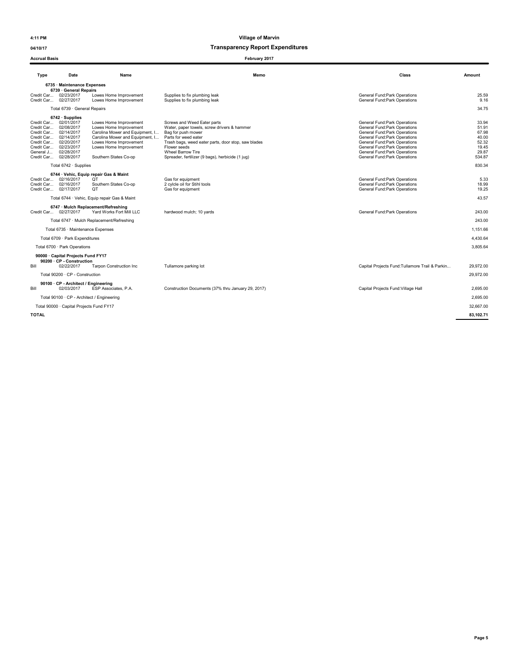### 04/10/17 and 04/10/17 and 04/10/17 and 04/10/17 and 04/10/17 and 05/17 and 05/17 and 05/17 and 05/17 and 05/17 and 05/17 and 05/17 and 05/17 and 05/17 and 05/17 and 05/17 and 05/17 and 05/17 and 05/17 and 05/17 and 05/17 a

#### Accrual Basis February 2017

| Type                                | Date                                                | Name                                             | Memo                                                                       | Class                                                          | Amount         |
|-------------------------------------|-----------------------------------------------------|--------------------------------------------------|----------------------------------------------------------------------------|----------------------------------------------------------------|----------------|
|                                     |                                                     |                                                  |                                                                            |                                                                |                |
|                                     | 6735 Maintenance Expenses<br>6739 · General Repairs |                                                  |                                                                            |                                                                |                |
| Credit Car 02/27/2017               | Credit Car 02/23/2017                               | Lowes Home Improvement<br>Lowes Home Improvement | Supplies to fix plumbing leak<br>Supplies to fix plumbing leak             | General Fund: Park Operations<br>General Fund: Park Operations | 25.59<br>9.16  |
|                                     |                                                     |                                                  |                                                                            |                                                                |                |
|                                     | Total 6739 · General Repairs                        |                                                  |                                                                            |                                                                | 34.75          |
|                                     | $6742 \cdot$ Supplies                               |                                                  |                                                                            |                                                                | 33.94          |
| Credit Car 02/01/2017<br>Credit Car | 02/08/2017                                          | Lowes Home Improvement<br>Lowes Home Improvement | Screws and Weed Eater parts<br>Water, paper towels, screw drivers & hammer | General Fund: Park Operations<br>General Fund: Park Operations | 51.91          |
| Credit Car                          | 02/14/2017                                          | Carolina Mower and Equipment, I                  | Bag for push mower                                                         | General Fund: Park Operations                                  | 67.98          |
| Credit Car 02/14/2017               |                                                     | Carolina Mower and Equipment, I                  | Parts for weed eater                                                       | General Fund: Park Operations                                  | 40.00          |
| Credit Car 02/20/2017               |                                                     | Lowes Home Improvement                           | Trash bags, weed eater parts, door stop, saw blades                        | General Fund: Park Operations                                  | 52.32          |
| Credit Car<br>General J             | 02/23/2017<br>02/28/2017                            | Lowes Home Improvement                           | Flower seeds<br><b>Wheel Barrow Tire</b>                                   | General Fund: Park Operations<br>General Fund: Park Operations | 19.45<br>29.87 |
| Credit Car 02/28/2017               |                                                     | Southern States Co-op                            | Spreader, fertilizer (9 bags), herbicide (1 jug)                           | General Fund:Park Operations                                   | 534.87         |
|                                     | Total 6742 · Supplies                               |                                                  |                                                                            |                                                                | 830.34         |
|                                     |                                                     | 6744 · Vehic, Equip repair Gas & Maint           |                                                                            |                                                                |                |
| Credit Car 02/16/2017               |                                                     | QT                                               | Gas for equipment                                                          | General Fund: Park Operations                                  | 5.33           |
| Credit Car 02/16/2017               |                                                     | Southern States Co-op                            | 2 cylcle oil for Stihl tools                                               | General Fund:Park Operations                                   | 18.99          |
| Credit Car 02/17/2017               |                                                     | QT                                               | Gas for equipment                                                          | General Fund: Park Operations                                  | 19.25          |
|                                     |                                                     | Total 6744 · Vehic, Equip repair Gas & Maint     |                                                                            |                                                                | 43.57          |
|                                     |                                                     | 6747 · Mulch Replacement/Refreshing              |                                                                            |                                                                |                |
|                                     | Credit Car 02/27/2017                               | Yard Works Fort Mill LLC                         | hardwood mulch; 10 yards                                                   | General Fund: Park Operations                                  | 243.00         |
|                                     |                                                     | Total 6747 · Mulch Replacement/Refreshing        |                                                                            |                                                                | 243.00         |
|                                     | Total 6735 · Maintenance Expenses                   |                                                  |                                                                            |                                                                | 1.151.66       |
|                                     | Total 6709 · Park Expenditures                      |                                                  |                                                                            |                                                                | 4,430.64       |
|                                     | Total 6700 · Park Operations                        |                                                  |                                                                            |                                                                | 3.805.64       |
|                                     | 90000 · Capital Projects Fund FY17                  |                                                  |                                                                            |                                                                |                |
|                                     | 90200 · CP - Construction                           |                                                  |                                                                            |                                                                |                |
| Bill                                | 02/22/2017                                          | <b>Tarpon Construction Inc</b>                   | Tullamore parking lot                                                      | Capital Projects Fund: Tullamore Trail & Parkin                | 29,972.00      |
|                                     | Total 90200 · CP - Construction                     |                                                  |                                                                            |                                                                | 29.972.00      |
|                                     | 90100 · CP - Architect / Engineering                |                                                  |                                                                            |                                                                |                |
| Bill                                | 02/03/2017                                          | ESP Associates, P.A.                             | Construction Documents (37% thru January 29, 2017)                         | Capital Projects Fund: Village Hall                            | 2,695.00       |
|                                     |                                                     | Total 90100 · CP - Architect / Engineering       |                                                                            |                                                                | 2.695.00       |
|                                     | Total 90000 · Capital Projects Fund FY17            |                                                  |                                                                            |                                                                | 32.667.00      |
| TOTAL                               |                                                     |                                                  |                                                                            |                                                                | 83.102.71      |